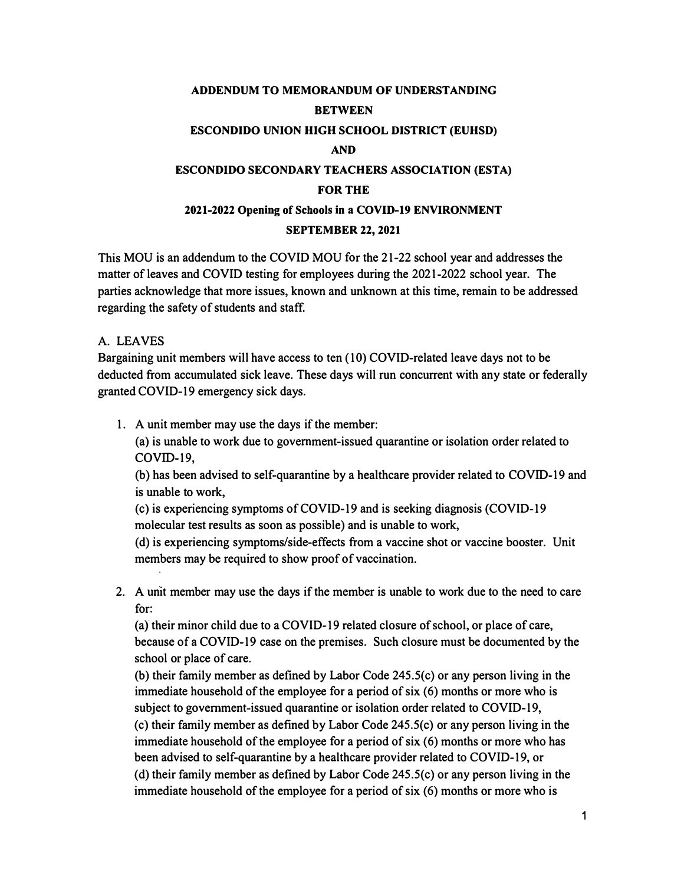# **ADDENDUM TO MEMORANDUM OF UNDERSTANDING BETWEEN ESCONDIDO UNION HIGH SCHOOL DISTRICT (EUHSD) AND ESCONDIDO SECONDARY TEACHERS ASSOCIATION (ESTA) FOR THE 2021-2022 Opening of Schools in a COVID-19 ENVIRONMENT**

## **SEPTEMBER 22, 2021**

This MOU is an addendum to the COVID MOU for the 21-22 school year and addresses the matter of leaves and COVID testing for employees during the 2021-2022 school year. The parties acknowledge that more issues, known and unknown at this time, remain to be addressed regarding the safety of students and staff.

# A. LEAVES

Bargaining unit members will have access to ten ( 10) COVID-related leave days not to be deducted from accumulated sick leave. These days will run concurrent with any state or federally granted COVID-19 emergency sick days.

1. A unit member may use the days if the member:

(a) is unable to work due to government-issued quarantine or isolation order related to COVID-19,

(b) has been advised to self-quarantine by a healthcare provider related to COVID-19 and is unable to work,

(c) is experiencing symptoms of COVID-19 and is seeking diagnosis (COVID-19 molecular test results as soon as possible) and is unable to work,

( d) is experiencing symptoms/side-effects from a vaccine shot or vaccine booster. Unit members may be required to show proof of vaccination.

2. A unit member may use the days if the member is unable to work due to the need to care for:

(a} their minor child due to a COVID-19 related closure of school, or place of care, because of a COVID-19 case on the premises. Such closure must be documented by the school or place of care.

(b) their family member as defined by Labor Code 245.S(c) or any person living in the immediate household of the employee for a period of six (6) months or more who is subject to government-issued quarantine or isolation order related to COVID-19, (c) their family member as defined by Labor Code 245.S(c) or any person living in the

immediate household of the employee for a period of  $six(6)$  months or more who has been advised to self-quarantine by a healthcare provider related to COVID-19, or (d) their family member as defined by Labor Code 245.5(c) or any person living in the immediate household of the employee for a period of six (6) months or more who is